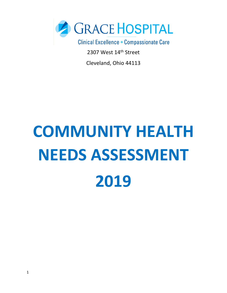

2307 West 14th Street

Cleveland, Ohio 44113

# **COMMUNITY HEALTH NEEDS ASSESSMENT 2019**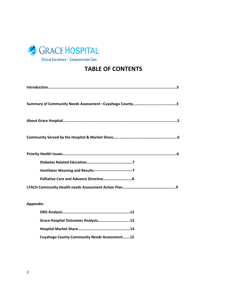

### **TABLE OF CONTENTS**

| Ventilator Weaning and Results----------------------------------7 |
|-------------------------------------------------------------------|
|                                                                   |
|                                                                   |

#### **Appendix:**

| Grace Hospital Outcomes Analysis13                  |  |
|-----------------------------------------------------|--|
|                                                     |  |
| <b>Cuyahoga County Community Needs Assessment15</b> |  |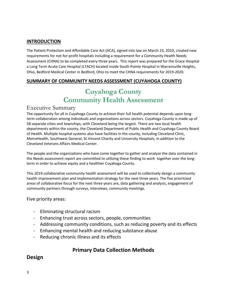#### **INTRODUCTION**

The Patient Protection and Affordable Care Act (ACA), signed into law on March 23, 2010, created new requirements for not-for-profit hospitals including a requirement for a Community Health Needs Assessment (CHNA) to be completed every three years. This report was prepared for the Grace Hospital a Long Term Acute Care Hospital (LTACH) located inside South Pointe Hospital in Warrensville Heights, Ohio, Bedford Medical Center in Bedford, Ohio to meet the CHNA requirements for 2019-2020.

#### **SUMMARY OF COMMUNITY NEEDS ASSESSMENT (CUYAHOGA COUNTY)**

### **Cuyahoga County Community Health Assessment**

#### Executive Summary

The opportunity for all in Cuyahoga County to achieve their full health potential depends upon longterm collaboration among individuals and organizations across sectors. Cuyahoga County is made up of 58 separate cities and townships, with Cleveland being the largest. There are two local health departments within the county, the Cleveland Department of Public Health and Cuyahoga County Board of Health. Multiple hospital systems also have facilities in the county, including Cleveland Clinic, MetroHealth, Southwest General, St.Vincent Charity and University Hospitals, in addition to the Cleveland Veterans Affairs Medical Center.

The people and the organizations who have come together to gather and analyze the data contained in the Needs assessment report are committed to utilizing these finding to work together over the longterm in order to achieve equity and a healthier Cuyahoga County.

This 2019 collaborative community health assessment will be used to collectively design a community health improvement plan and implementation strategy for the next three years. The five prioritized areas of collaborative focus for the next three years are, data gathering and analysis, engagement of community partners through surveys, interviews, community meetings.

#### Five priority areas:

- Eliminating structural racism
- Enhancing trust across sectors, people, communities
- Addressing community conditions, such as reducing poverty and its effects
- Enhancing mental health and reducing substance abuse
- Reducing chronic illness and its effects

#### **Primary Data Collection Methods**

#### **Design**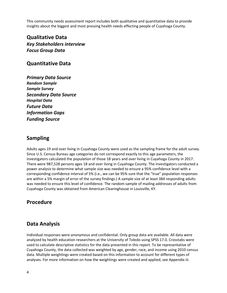This community needs assessment report includes both qualitative and quantitative data to provide insights about the biggest and most pressing health needs effecting people of Cuyahoga County.

**Qualitative Data** *Key Stakeholders interview Focus Group Data*

#### **Quantitative Data**

*Primary Data Source Random Sample Sample Survey Secondary Data Source Hospital Data Future Data Information Gaps Funding Source*

#### **Sampling**

Adults ages 19 and over living in Cuyahoga County were used as the sampling frame for the adult survey. Since U.S. Census Bureau age categories do not correspond exactly to this age parameters, the investigators calculated the population of those 18 years and over living in Cuyahoga County in 2017. There were 987,528 persons ages 18 and over living in Cuyahoga County. The investigators conducted a power analysis to determine what sample size was needed to ensure a 95% confidence level with a corresponding confidence interval of 5% (i.e., we can be 95% sure that the "true" population responses are within a 5% margin of error of the survey findings.) A sample size of at least 384 responding adults was needed to ensure this level of confidence. The random sample of mailing addresses of adults from Cuyahoga County was obtained from American Clearinghouse in Louisville, KY.

#### **Procedure**

#### **Data Analysis**

Individual responses were anonymous and confidential. Only group data are available. All data were analyzed by health education researchers at the University of Toledo using SPSS 17.0. Crosstabs were used to calculate descriptive statistics for the data presented in this report. To be representative of Cuyahoga County, the data collected was weighted by age, gender, race, and income using 2010 census data. Multiple weightings were created based on this information to account for different types of analyses. For more information on how the weightings were created and applied, see Appendix iii.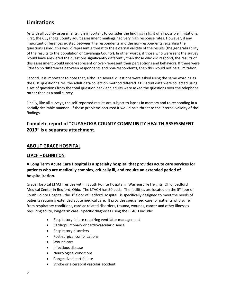#### **Limitations**

As with all county assessments, it is important to consider the findings in light of all possible limitations. First, the Cuyahoga County adult assessment mailings had very high response rates. However, if any important differences existed between the respondents and the non-respondents regarding the questions asked, this would represent a threat to the external validity of the results (the generalizability of the results to the population of Cuyahoga County). In other words, if those who were sent the survey would have answered the questions significantly differently than those who did respond, the results of this assessment would under-represent or over-represent their perceptions and behaviors. If there were little to no differences between respondents and non-respondents, then this would not be a limitation.

Second, it is important to note that, although several questions were asked using the same wording as the CDC questionnaires, the adult data collection method differed. CDC adult data were collected using a set of questions from the total question bank and adults were asked the questions over the telephone rather than as a mail survey.

Finally, like all surveys, the self-reported results are subject to lapses in memory and to responding in a socially desirable manner. If these problems occurred it would be a threat to the internal validity of the findings.

#### **Complete report of "CUYAHOGA COUNTY COMMUNITY HEALTH ASSESSMENT 2019" is a separate attachment.**

#### **ABOUT GRACE HOSPITAL**

#### **LTACH – DEFINITION:**

#### **A Long Term Acute Care Hospital is a specialty hospital that provides acute care services for patients who are medically complex, critically ill, and require an extended period of hospitalization.**

Grace Hospital LTACH resides within South Pointe Hospital in Warrensville Heights, Ohio, Bedford Medical Center in Bedford, Ohio. The LTACH has 50 beds. The facilities are located on the 5<sup>th</sup>floor of South Pointe Hospital, the 3<sup>rd</sup> floor of Bedford Hospital is specifically designed to meet the needs of patients requiring extended acute medical care. It provides specialized care for patients who suffer from respiratory conditions, cardiac related disorders, trauma, wounds, cancer and other illnesses requiring acute, long-term care. Specific diagnoses using the LTACH include:

- Respiratory failure requiring ventilator management
- Cardiopulmonary or cardiovascular disease
- Respiratory disorders
- Post-surgical complications
- Wound care
- Infectious disease
- Neurological conditions
- Congestive heart failure
- Stroke or a cerebral vascular accident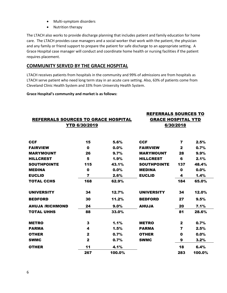- Multi-symptom disorders
- Nutrition therapy

The LTACH also works to provide discharge planning that includes patient and family education for home care. The LTACH provides case managers and a social worker that work with the patient, the physician and any family or friend support to prepare the patient for safe discharge to an appropriate setting. A Grace Hospital case manager will conduct and coordinate home health or nursing facilities if the patient requires placement.

#### **COMMUNITY SERVED BY THE GRACE HOSPITAL**

LTACH receives patients from hospitals in the community and 99% of admissions are from hospitals as LTACH serve patient who need long term stay in an acute care setting. Also, 63% of patients come from Cleveland Clinic Health System and 33% from University Health System.

**Grace Hospital's community and market is as follows:**

| REFERRALS SOURCES TO GRACE HOSPITAL<br><b>YTD 6/30/2019</b> |              |        | <b>REFERRALS SOURCES TO</b><br><b>GRACE HOSPITAL YTD</b><br>6/30/2018 |                         |        |  |  |  |  |  |  |
|-------------------------------------------------------------|--------------|--------|-----------------------------------------------------------------------|-------------------------|--------|--|--|--|--|--|--|
|                                                             |              |        |                                                                       |                         |        |  |  |  |  |  |  |
|                                                             |              |        |                                                                       |                         |        |  |  |  |  |  |  |
| <b>CCF</b>                                                  | 15           | 5.6%   | <b>CCF</b>                                                            | $\overline{\mathbf{z}}$ | 2.5%   |  |  |  |  |  |  |
| <b>FAIRVIEW</b>                                             | $\mathbf 0$  | 0.0%   | <b>FAIRVIEW</b>                                                       | $\mathbf{2}$            | 0.7%   |  |  |  |  |  |  |
| <b>MARYMOUNT</b>                                            | 26           | 9.7%   | <b>MARYMOUNT</b>                                                      | 28                      | 9.9%   |  |  |  |  |  |  |
| <b>HILLCREST</b>                                            | 5            | 1.9%   | <b>HILLCREST</b>                                                      | 6                       | 2.1%   |  |  |  |  |  |  |
| <b>SOUTHPOINTE</b>                                          | 115          | 43.1%  | <b>SOUTHPOINTE</b>                                                    | 137                     | 48.4%  |  |  |  |  |  |  |
| <b>MEDINA</b>                                               | $\mathbf 0$  | 0.0%   | <b>MEDINA</b>                                                         | $\mathbf 0$             | 0.0%   |  |  |  |  |  |  |
| <b>EUCLID</b>                                               | 7            | 2.6%   | <b>EUCLID</b>                                                         | 4                       | 1.4%   |  |  |  |  |  |  |
| <b>TOTAL CCHS</b>                                           | 168          | 62.9%  |                                                                       | 184                     | 65.0%  |  |  |  |  |  |  |
| <b>UNIVERSITY</b>                                           | 34           | 12.7%  | <b>UNIVERSITY</b>                                                     | 34                      | 12.0%  |  |  |  |  |  |  |
| <b>BEDFORD</b>                                              | 30           | 11.2%  | <b>BEDFORD</b>                                                        | 27                      | 9.5%   |  |  |  |  |  |  |
| <b>AHUJA /RICHMOND</b>                                      | 24           | 9.0%   | <b>AHUJA</b>                                                          | 20                      | 7.1%   |  |  |  |  |  |  |
| <b>TOTAL UHHS</b>                                           | 88           | 33.0%  |                                                                       | 81                      | 28.6%  |  |  |  |  |  |  |
| <b>METRO</b>                                                | 3            | 1.1%   | <b>METRO</b>                                                          | $\mathbf{2}$            | 0.7%   |  |  |  |  |  |  |
| <b>PARMA</b>                                                | 4            | 1.5%   | <b>PARMA</b>                                                          | 7                       | 2.5%   |  |  |  |  |  |  |
| <b>OTHER</b>                                                | $\mathbf{2}$ | 0.7%   | <b>OTHER</b>                                                          | $\mathbf 0$             | 0.0%   |  |  |  |  |  |  |
| <b>SWMC</b>                                                 | $\mathbf{2}$ | 0.7%   | <b>SWMC</b>                                                           | 9                       | 3.2%   |  |  |  |  |  |  |
| <b>OTHER</b>                                                | 11           | 4.1%   |                                                                       | 18                      | 6.4%   |  |  |  |  |  |  |
|                                                             | 267          | 100.0% |                                                                       | 283                     | 100.0% |  |  |  |  |  |  |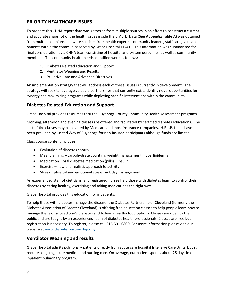#### **PRIORITY HEALTHCARE ISSUES**

To prepare this CHNA report data was gathered from multiple sources in an effort to construct a current and accurate snapshot of the health issues inside the LTACH. Data (**See Appendix Table A**) was obtained from multiple opinions and were solicited from health experts, community leaders, staff caregivers and patients within the community served by Grace Hospital LTACH. This information was summarized for final consideration by a CHNA team consisting of hospital and system personnel, as well as community members. The community health needs identified were as follows:

- 1. Diabetes Related Education and Support
- 2. Ventilator Weaning and Results
- 3. Palliative Care and Advanced Directives

An implementation strategy that will address each of these issues is currently in development. The strategy will seek to leverage valuable partnerships that currently exist, identify novel opportunities for synergy and maximizing programs while deploying specific interventions within the community.

#### **Diabetes Related Education and Support**

Grace Hospital provides resources thru the Cuyahoga County Community Health Assessment programs.

Morning, afternoon and evening classes are offered and facilitated by certified diabetes educations. The cost of the classes may be covered by Medicare and most insurance companies. H.E.L.P. funds have been provided by United Way of Cuyahoga for non-insured participants although funds are limited.

Class course content includes:

- Evaluation of diabetes control
- Meal planning carbohydrate counting, weight management, hyperlipidemia
- Medication oral diabetes medication (pills) insulin
- Exercise new and realistic approach to activity
- Stress physical and emotional stress; sick day management

An experienced staff of dietitians, and registered nurses help those with diabetes learn to control their diabetes by eating healthy, exercising and taking medications the right way.

Grace Hospital provides this education for inpatients.

To help those with diabetes manage the disease, the Diabetes Partnership of Cleveland (formerly the Diabetes Association of Greater Cleveland) is offering free education classes to help people learn how to manage theirs or a loved one's diabetes and to learn healthy food options. Classes are open to the public and are taught by an experienced team of diabetes health professionals. Classes are free but registration is necessary. To register, please call 216-591-0800. For more information please visit our website at [www.diabetespartnership.org.](http://www.diabetespartnership.org/)

#### **Ventilator Weaning and results**

Grace Hospital admits pulmonary patients directly from acute care hospital Intensive Care Units, but still requires ongoing acute medical and nursing care. On average, our patient spends about 25 days in our inpatient pulmonary program.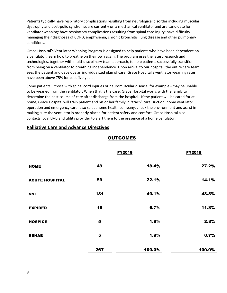Patients typically have respiratory complications resulting from neurological disorder including muscular dystrophy and post-polio syndrome; are currently on a mechanical ventilator and are candidate for ventilator weaning; have respiratory complications resulting from spinal cord injury; have difficulty managing their diagnoses of COPD, emphysema, chronic bronchitis, lung disease and other pulmonary conditions.

Grace Hospital's Ventilator Weaning Program is designed to help patients who have been dependent on a ventilator, learn how to breathe on their own again. The program uses the latest research and technologies, together with multi-disciplinary team approach, to help patients successfully transition from being on a ventilator to breathing independence. Upon arrival to our hospital, the entire care team sees the patient and develops an individualized plan of care. Grace Hospital's ventilator weaning rates have been above 75% for past five years.

Some patients – those with spinal cord injuries or neuromuscular disease, for example - may be unable to be weaned from the ventilator. When that is the case, Grace Hospital works with the family to determine the best course of care after discharge from the hospital. If the patient will be cared for at home, Grace Hospital will train patient and his or her family in "trach" care, suction, home ventilator operation and emergency care, also select home health company, check the environment and assist in making sure the ventilator is properly placed for patient safety and comfort. Grace Hospital also contacts local EMS and utility provider to alert them to the presence of a home ventilator.

|                       |     | <b>FY2019</b> | <b>FY2018</b> |
|-----------------------|-----|---------------|---------------|
| <b>HOME</b>           | 49  | 18.4%         | 27.2%         |
| <b>ACUTE HOSPITAL</b> | 59  | 22.1%         | 14.1%         |
| <b>SNF</b>            | 131 | 49.1%         | 43.8%         |
| <b>EXPIRED</b>        | 18  | 6.7%          | 11.3%         |
| <b>HOSPICE</b>        | 5   | 1.9%          | 2.8%          |
| <b>REHAB</b>          | 5   | 1.9%          | 0.7%          |
|                       | 267 | 100.0%        | 100.0%        |

#### **Palliative Care and Advance Directives**

#### **OUTCOMES**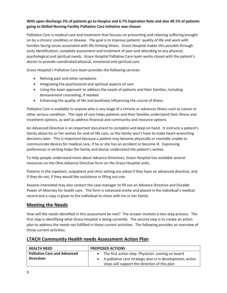#### **With upon discharge 2% of patients go to Hospice and 6.7% Expiration Rate and also 49.1% of patients going to Skilled Nursing Facility Palliative Care initiative was chosen**

Palliative Care is medical care and treatment that focuses on preventing and relieving suffering brought on by a chronic condition or disease. The goal is to improve patients' quality of life and work with families facing issues associated with life-limiting illness. Grace Hospital makes this possible through early identification, complete assessment and treatment of pain and attending to any physical, psychological and spiritual needs. Grace Hospital Palliative Care team works closed with the patient's doctor to provide coordinated physical, emotional and spiritual care.

Grace Hospital's Palliative Care team provides the following services:

- Reliving pain and other symptoms
- Integrating the psychosocial and spiritual aspects of care
- Using the team approach to address the needs of patients and their families, including bereavement counseling, if needed
- Enhancing the quality of life and positively influencing the course of illness

Palliative Care is available to anyone who is any stage of a chronic or advances illness such as cancer or other serious condition. This type of care helps patients and their families understand their illness and treatment options, as well as address financial and community and resource options.

An Advanced Directive is an important document to complete and keep on hand. It instructs a patient's family about his or her wishes for end-of-life care, so the family won't have to make heart-wrenching decisions later. This is important because a patient may become physically or mentally unable to communicate desires for medical care, if he or she has an accident or become ill. Expressing preferences in writing helps the family and doctor understand the patient's wishes.

To help people understand more about Advance Directives, Grace Hospital has available several resources on the Ohio Advance Directive form on the Grace Hospital units.

Patients in the inpatient, outpatient and clinic setting are asked if they have an advanced directive, and if they do not, if they would like assistance in filling out one.

Anyone interested may also contact the case manager to fill out an Advance Directive and Durable Power of Attorney for health care. The form is notarized onsite and placed in the individual's medical record and a copy is given to the individual to share with his or her family.

#### **Meeting the Needs**

How will the needs identified in this assessment be met? The answer involves a two-step process. The first step is identifying what Grace Hospital is doing currently. The second step is to create an action plan to address the needs not fulfilled in those current activities. The following provides an overview of those current activities.

#### **LTACH Community Health needs Assessment Action Plan**

| <b>HEALTH NEED</b>                  | <b>PROPOSED ACTIONS</b>                                    |  |  |
|-------------------------------------|------------------------------------------------------------|--|--|
| <b>Palliative Care and Advanced</b> | The first action step Physician coming on board            |  |  |
| <b>Directives</b>                   | A palliative care strategic plan is in development; action |  |  |
|                                     | steps will support the direction of this plan              |  |  |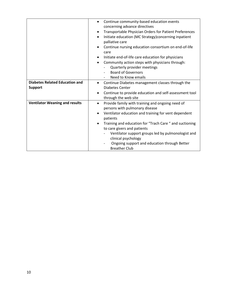| Continue community-based education events<br>$\bullet$<br>concerning advance directives<br>Transportable Physician Orders for Patient Preferences<br>$\bullet$<br>Initiate education (MC Strategy)concerning inpatient<br>$\bullet$<br>palliative care<br>Continue nursing education consortium on end-of-life<br>care<br>Initiate end-of-life care education for physicians<br>Community action steps with physicians through:<br>Quarterly provider meetings<br><b>Board of Governors</b><br>Need to Know emails |
|--------------------------------------------------------------------------------------------------------------------------------------------------------------------------------------------------------------------------------------------------------------------------------------------------------------------------------------------------------------------------------------------------------------------------------------------------------------------------------------------------------------------|
| Continue Diabetes management classes through the<br>$\bullet$                                                                                                                                                                                                                                                                                                                                                                                                                                                      |
| <b>Diabetes Center</b>                                                                                                                                                                                                                                                                                                                                                                                                                                                                                             |
| Continue to provide education and self-assessment tool<br>through the web site                                                                                                                                                                                                                                                                                                                                                                                                                                     |
| Provide family with training and ongoing need of<br>$\bullet$<br>persons with pulmonary disease<br>Ventilator education and training for vent dependent<br>$\bullet$<br>patients<br>Training and education for "Trach Care " and suctioning<br>$\bullet$<br>to care givers and patients<br>Ventilator support groups led by pulmonologist and<br>clinical psychology<br>Ongoing support and education through Better                                                                                               |
|                                                                                                                                                                                                                                                                                                                                                                                                                                                                                                                    |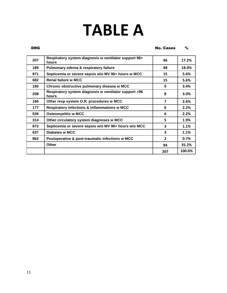## **TABLE A**

#### **DRG** No. Cases %

| 207 | Respiratory system diagnosis w ventilator support 96+<br>hours | 46             | 17.2%  |
|-----|----------------------------------------------------------------|----------------|--------|
| 189 | Pulmonary edema & respiratory failure                          | 48             | 18.0%  |
| 871 | Septicemia or severe sepsis w/o MV 96+ hours w MCC             | 15             | 5.6%   |
| 682 | <b>Renal failure w MCC</b>                                     | 15             | 5.6%   |
| 190 | Chronic obstructive pulmonary disease w MCC                    | 9              | 3.4%   |
| 208 | Respiratory system diagnosis w ventilator support <96<br>hours | 8              | 3.0%   |
| 166 | Other resp system O.R. procedures w MCC                        | 7              | 2.6%   |
| 177 | <b>Respiratory infections &amp; inflammations w MCC</b>        | 6              | 2.2%   |
| 539 | <b>Osteomyelitis w MCC</b>                                     | 6              | 2.2%   |
| 314 | Other circulatory system diagnoses w MCC                       | 5              | 1.9%   |
| 872 | Septicemia or severe sepsis w/o MV 96+ hours w/o MCC           | 3              | 1.1%   |
| 637 | Diabetes w MCC                                                 | 3              | 1.1%   |
| 862 | Postoperative & post-traumatic infections w MCC                | $\overline{2}$ | 0.7%   |
|     | Other                                                          | 94             | 35.2%  |
|     |                                                                | 267            | 100.0% |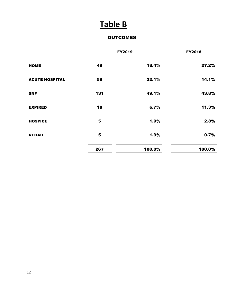## **Table B**

#### **OUTCOMES**

|                       |     | <b>FY2019</b> | <b>FY2018</b> |
|-----------------------|-----|---------------|---------------|
| <b>HOME</b>           | 49  | 18.4%         | 27.2%         |
| <b>ACUTE HOSPITAL</b> | 59  | 22.1%         | 14.1%         |
| <b>SNF</b>            | 131 | 49.1%         | 43.8%         |
| <b>EXPIRED</b>        | 18  | 6.7%          | 11.3%         |
| <b>HOSPICE</b>        | 5   | 1.9%          | 2.8%          |
| <b>REHAB</b>          | 5   | 1.9%          | 0.7%          |
|                       | 267 | 100.0%        | 100.0%        |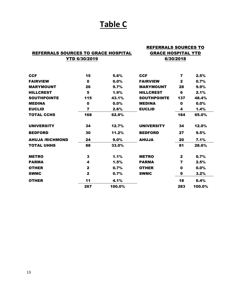## **Table C**

|                                     |              |        | <b>REFERRALS SOURCES TO</b> |              |         |
|-------------------------------------|--------------|--------|-----------------------------|--------------|---------|
| REFERRALS SOURCES TO GRACE HOSPITAL |              |        | <b>GRACE HOSPITAL YTD</b>   |              |         |
| <b>YTD 6/30/2019</b>                |              |        | 6/30/2018                   |              |         |
| <b>CCF</b>                          | 15           | 5.6%   | <b>CCF</b>                  | 7            | 2.5%    |
| <b>FAIRVIEW</b>                     | 0            | 0.0%   | <b>FAIRVIEW</b>             | $\mathbf{2}$ | 0.7%    |
| <b>MARYMOUNT</b>                    | 26           | 9.7%   | <b>MARYMOUNT</b>            | 28           | $9.9\%$ |
| <b>HILLCREST</b>                    | 5            | 1.9%   | <b>HILLCREST</b>            | 6            | 2.1%    |
| <b>SOUTHPOINTE</b>                  | 115          | 43.1%  | <b>SOUTHPOINTE</b>          | 137          | 48.4%   |
| <b>MEDINA</b>                       | $\mathbf 0$  | 0.0%   | <b>MEDINA</b>               | $\mathbf{0}$ | 0.0%    |
| <b>EUCLID</b>                       | 7            | 2.6%   | <b>EUCLID</b>               | 4            | 1.4%    |
| <b>TOTAL CCHS</b>                   | 168          | 62.9%  |                             | 184          | 65.0%   |
| <b>UNIVERSITY</b>                   | 34           | 12.7%  | <b>UNIVERSITY</b>           | 34           | 12.0%   |
| <b>BEDFORD</b>                      | 30           | 11.2%  | <b>BEDFORD</b>              | 27           | 9.5%    |
| AHUJA /RICHMOND                     | 24           | 9.0%   | <b>AHUJA</b>                | 20           | 7.1%    |
| <b>TOTAL UHHS</b>                   | 88           | 33.0%  |                             | 81           | 28.6%   |
| <b>METRO</b>                        | 3            | 1.1%   | <b>METRO</b>                | $\mathbf{2}$ | 0.7%    |
| <b>PARMA</b>                        | 4            | 1.5%   | <b>PARMA</b>                | 7            | 2.5%    |
| <b>OTHER</b>                        | $\mathbf{2}$ | 0.7%   | <b>OTHER</b>                | $\mathbf 0$  | 0.0%    |
| <b>SWMC</b>                         | $\mathbf{2}$ | 0.7%   | <b>SWMC</b>                 | 9            | 3.2%    |
| <b>OTHER</b>                        | 11           | 4.1%   |                             | 18           | 6.4%    |
|                                     | 267          | 100.0% |                             | 283          | 100.0%  |